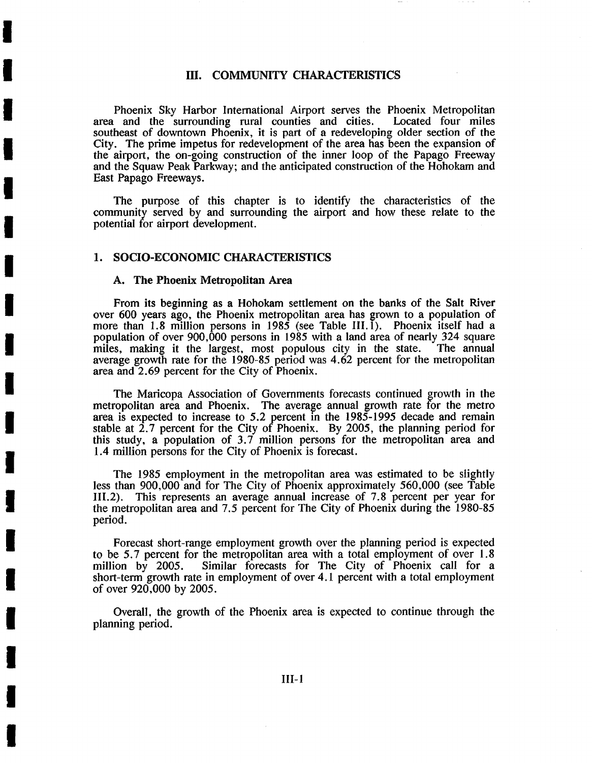# III. COMMUNITY CHARACTERISTICS

Phoenix Sky Harbor International Airport serves the Phoenix Metropolitan<br>and the surrounding rural counties and cities. Located four miles area and the surrounding rural counties and cities. southeast of downtown Phoenix, it is part of a redeveloping older section of the City. The prime impetus for redevelopment of the area has been the expansion of the airport, the on-going construction of the inner loop of the Papago Freeway and the Squaw Peak Parkway; and the anticipated construction of the Hohokam and East Papago Freeways.

The purpose of this chapter is to identify the characteristics of the community served by and surrounding the airport and how these relate to the potential for airport development.

#### 1. SOCIO-ECONOMIC CHARACTERISTICS

#### A. The Phoenix Metropolitan Area

**I** 

**I** 

**I** 

**I** 

**I** 

**I** 

**I** 

**I** 

**I** 

**I** 

**I** 

**I** 

**I** 

**I** 

**I** 

**I** 

**I** 

**I** 

From its beginning as a Hohokam settlement on the banks of the Salt River over 600 years ago, the Phoenix metropolitan area has grown to a population of more than 1.8 million persons in 1985 (see Table III.1). Phoenix itself had a population of over  $900,000$  persons in 1985 with a land area of nearly 324 square miles, making it the largest, most populous city in the state. The annual average growth rate for the 1980-85 period was 4.62 percent for the metropolitan area and 2.69 percent for the City of Phoenix.

The Maricopa Association of Governments forecasts continued growth in the metropolitan area and Phoenix. The average annual growth rate for the metro area is expected to increase to 5.2 percent in the 1985-1995 decade and remain stable at 2.7 percent for the City of Phoenix. By 2005, the planning period for this study, a population of 3.7 million persons for the metropolitan area and 1.4 million persons for the City of Phoenix is forecast.

The 1985 employment in the metropolitan area was estimated to be slightly less than 900,000 and for The City of Phoenix approximately 560,000 (see Table 1II.2). This represents an average annual increase of 7.8 percent per year for the metropolitan area and 7.5 percent for The City of Phoenix during the 1980-85 period.

Forecast short-range employment growth over the planning period is expected to be 5.7 percent for the metropolitan area with a total employment of over 1.8 million by 2005. Similar forecasts for The City of Phoenix call for a short-term growth rate in employment of over 4.1 percent with a total employment of over 920,000 by 2005.

Overall, the growth of the Phoenix area is expected to continue through the planning period.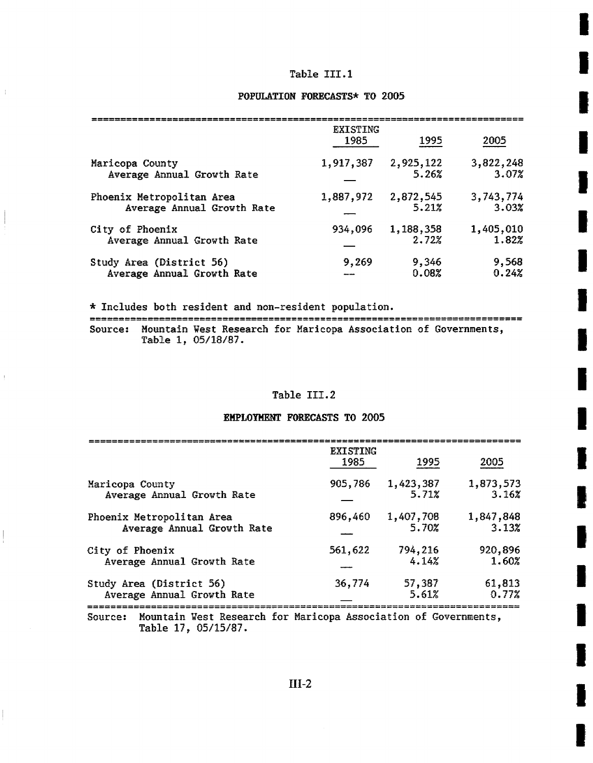# Table III.I

**i** 

**I** 

**I** 

**I** 

**I** 

**I** 

**I** 

**I** 

**I** 

I

**I** 

**I** 

**I** 

**I** 

**I** 

**I** 

### **POPULATION FORECASTS\* TO 2005**

|                            | <b>EXISTING</b><br>1985 | 1995      | 2005      |
|----------------------------|-------------------------|-----------|-----------|
| Maricopa County            | 1,917,387               | 2,925,122 | 3,822,248 |
| Average Annual Growth Rate |                         | 5.26%     | 3.07%     |
| Phoenix Metropolitan Area  | 1,887,972               | 2,872,545 | 3,743,774 |
| Average Annual Growth Rate |                         | 5.21%     | 3.03%     |
| City of Phoenix            | 934,096                 | 1,188,358 | 1,405,010 |
| Average Annual Growth Rate |                         | 2.72%     | 1.82%     |
| Study Area (District 56)   | 9,269                   | 9,346     | 9,568     |
| Average Annual Growth Rate |                         | 0.08%     | 0.24%     |

\* Includes both resident and non-resident population.

 $\frac{1}{4}$ 

Source: Mountain West Research for Marlcopa Association of Governments, Table 1, 05/18/87.

# Table III.2

# **EMPLOYMENT FORECASTS TO 2005**

|                            | <b>EXISTING</b><br>1985 | 1995      | 2005      |
|----------------------------|-------------------------|-----------|-----------|
| Maricopa County            | 905,786                 | 1,423,387 | 1,873,573 |
| Average Annual Growth Rate |                         | 5.71%     | 3.16%     |
| Phoenix Metropolitan Area  | 896,460                 | 1,407,708 | 1,847,848 |
| Average Annual Growth Rate |                         | 5.70%     | 3.13%     |
| City of Phoenix            | 561,622                 | 794,216   | 920,896   |
| Average Annual Growth Rate |                         | 4.14%     | 1.60%     |
| Study Area (District 56)   | 36,774                  | 57,387    | 61,813    |
| Average Annual Growth Rate |                         | 5.61%     | 0.772     |

Source: Mountain West Research for Maricopa Association of Governments,<br> **Table 17, 05/15/87.**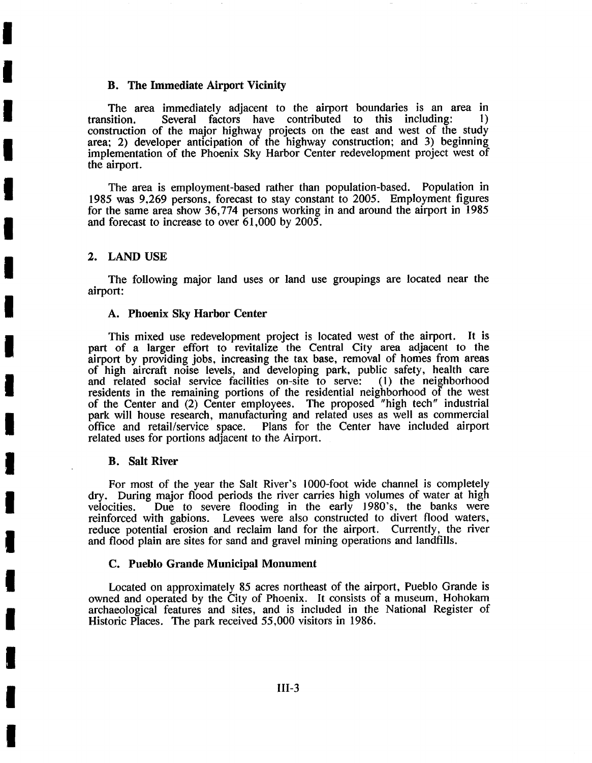# **B. The Immediate Airport Vicinity**

The area immediately adjacent to the airport boundaries is an area in transition. Several factors have contributed to this including: 1) Several factors have contributed to this including:  $1)$ construction of the major highway projects on the east and west of the study area; 2) developer anticipation of the highway construction; and 3) beginning implementation of the Phoenix Sky Harbor Center redevelopment project west of the airport.

The area is employment-based rather than population-based. Population in 1985 was 9,269 persons, forecast to stay constant to 2005. Employment figures for the same area show 36,774 persons working in and around the airport in 1985 and forecast to increase to over 61,000 by 2005.

#### 2. LAND USE

**i** 

**I** 

**I** 

**I** 

**!** 

**I** 

**I** 

**I** 

**I** 

**!** 

**I** 

**I** 

**I** 

**I** 

**!** 

**I** 

**!** 

**I** 

The following major land uses or land use groupings are located near the airport:

### A. Phoenix Sky Harbor **Center**

This mixed use redevelopment project is located west of the airport. It is part of a larger effort to revitalize the Central City area adjacent to the airport by providing jobs, increasing the tax base, removal of homes from areas of high aircraft noise levels, and developing park, public safety, health care and related social service facilities on-site to serve: residents in the remaining portions of the residential neighborhood of the west of the Center and (2) Center employees. The proposed "high tech" industrial park will house research, manufacturing and related uses as well as commercial office and retail/service space. Plans for the Center have included airport related uses for portions adjacent to the Airport.

# **B. Salt River**

For most of the year the Salt River's 1000-foot wide channel is completely dry. During major flood periods the river carries high volumes of water at high velocities. Due to severe flooding in the early 1980's, the banks were reinforced with gabions. Levees were also constructed to divert flood waters, reduce potential erosion and reclaim land for the airport. Currently, the river and flood plain are sites for sand and gravel mining operations and landfills.

# **C. Pueblo Grande Municipal Monument**

Located on approximately 85 acres northeast of the airport, Pueblo Grande is owned and operated by the City of Phoenix. It consists of a museum, Hohokam archaeological features and sites, and is included in the National Register of Historic Places. The park received 55,000 visitors in 1986.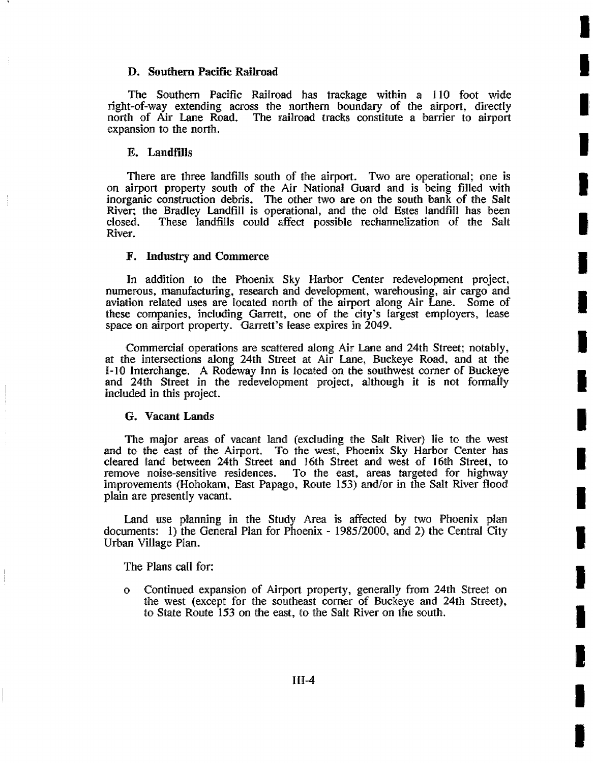# **D. Southern Pacific Railroad**

The Southern Pacific Railroad has trackage within a 110 foot wide right-of-way extending across the northern boundary of the airport, directly north of Air Lane Road. The railroad tracks constitute a barrier to airport The railroad tracks constitute a barrier to airport expansion to the north.

**I** 

**I** 

I

**I** 

**I** 

**I** 

**I** 

**I** 

**I** 

**I** 

**!** 

|:

**I** 

**I** 

**I** 

**I** 

**I** 

**I** 

**I** 

# E. Landfills

There are three landfills south of the airport. Two are operational; one is on airport property south of the Air National Guard and is being filled with inorganic construction debris. The other two are on the south bank of the Salt River; the Bradley Landfill is operational, and the old Estes landfill has been closed. These landfills could affect possible rechannelization of the Salt These Iandfills could affect possible rechannelization of the Salt River.

# F. Industry and Commerce

In addition to the Phoenix Sky Harbor Center redevelopment project, numerous, manufacturing, research and development, warehousing, air cargo and aviation related uses are located north of the airport along Air Lane. Some of these companies, including Garrett, one of the city's largest employers, lease space on airport property. Garrett's lease expires in 2049.

Commercial operations are scattered along Air Lane and 24th Street; notably, at the intersections along 24th Street at Air Lane, Buckeye Road, and at the 1-10 Interchange. A Rodeway Inn is located on the southwest corner of Buckeye and 24th Street in the redevelopment project, although it is not formally included in this project.

# **G. Vacant Lands**

The major areas of vacant land (excluding the Salt River) lie to the west and to the east of the Airport. To the west, Phoenix Sky Harbor Center has cleared land between 24th Street and 16th Street and west of 16th Street, to remove noise-sensitive residences. To the east, areas targeted for highway To the east, areas targeted for highway improvements (Hohokam, East Papago, Route 153) and/or in the Salt River flood plain are presently vacant.

Land use planning in the Study Area is affected by two Phoenix plan documents: 1) the General Plan for Phoenix - 1985/2000, and 2) the Central City Urban Village Plan.

The Plans call for::

<sup>0</sup>Continued expansion of Airport property, generally from 24th Street on the west (except for the southeast corner of Buckeye and 24th Street), to State Route 153 on the east, to the Salt River on the south.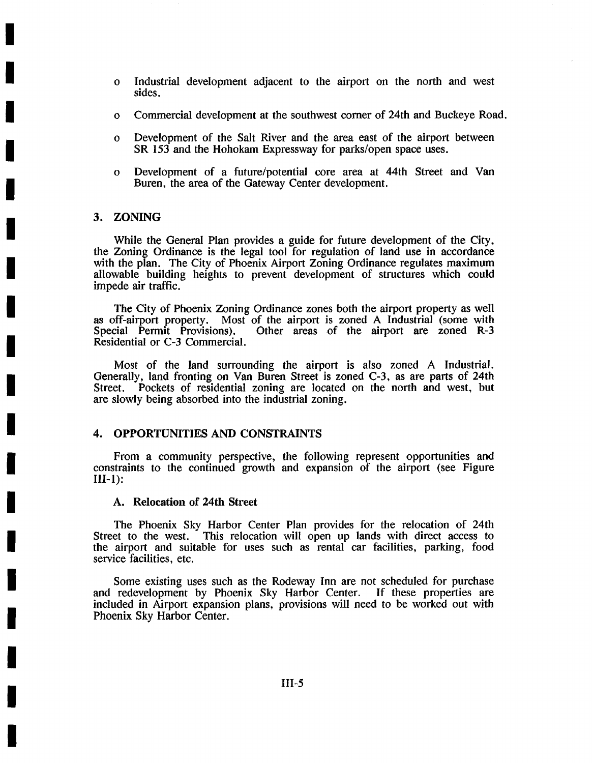- $\mathbf{o}$ Industrial development adjacent to the airport on the north and west sides.
- O Commercial development at the southwest comer of 24th and Buckeye Road.
- $\Omega$ Development of the Salt River and the area east of the airport between SR 153 and the Hohokam Expressway for parks/open space uses.
- O Development of a future/potential core area at 44th Street and Van Buren, the area of the Gateway Center development.

# 3. ZONING

**!** 

**!** 

**I** 

**I** 

**I** 

**I** 

**I** 

**i** 

**I** 

**!** 

**I** 

**I** 

**I** 

**I** 

**I** 

**I** 

**i** 

**I** 

While the General Plan provides a guide for future development of the City, the Zoning Ordinance is the legal tool for regulation of land use in accordance with the plan. The City of Phoenix Airport Zoning Ordinance regulates maximum allowable building heights to prevent development of structures which could impede air traffic.

The City of Phoenix Zoning Ordinance zones both the airport property as well as off-airport property. Most of the airport is zoned A Industrial (some with Special Permit Provisions). Other areas of the airport are zoned R-3 Other areas of the airport are zoned R-3 Residential or C-3 Commercial.

Most of the land surrounding the airport is also zoned A Industrial. Generally, land fronting on Van Buren Street is zoned C-3, as are parts of 24th Street. Pockets of residential zoning are located on the north and west, but Pockets of residential zoning are located on the north and west, but are slowly being absorbed into the industrial zoning.

# 4. OPPORTUNITIES AND CONSTRAINTS

From a community perspective, the following represent opportunities and constraints to the continued growth and expansion of the airport (see Figure III-1):

### **A. Relocation of 24th Street**

The Phoenix Sky Harbor Center Plan provides for the relocation of 24th Street to the west. This relocation will open up lands with direct access to the airport and suitable for uses such as rental car facilities, parking, food service facilities, etc.

Some existing uses such as the Rodeway Inn are not scheduled for purchase and redevelopment by Phoenix Sky Harbor Center. If these properties are included in Airport expansion plans, provisions will need to be worked out with Phoenix Sky Harbor Center.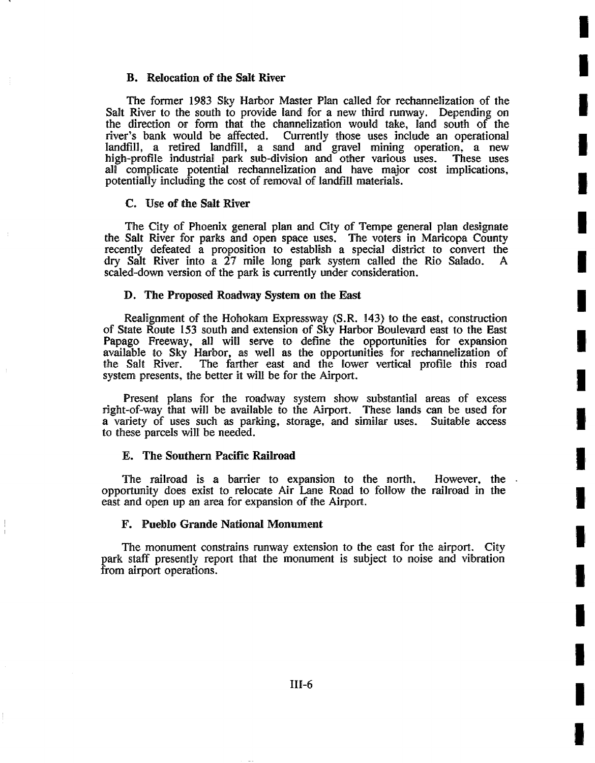# **B. Rdoeation of the Salt River**

The former 1983 Sky Harbor Master Plan called for rechannelization of the Salt River to the south to provide land for a new third runway. Depending on the direction or form that the channelization would take, land south of the river's bank would be affected. Currently those uses include an operational Currently those uses include an operational landfill, a retired landfill, a sand and gravel mining operation, a new high-profile industrial park sub-division and other various uses. These uses all complicate potential rechannelization and have major cost implications, potentially including the cost of removal of IandfiI1 materials.

**i** 

**i** 

**!** 

**!** 

**!** 

!,

**I** 

**!** 

!,

**!** 

**!** 

!,

**!** 

**I** 

**!** 

**i** 

**i** 

**I** 

**!** 

### **C. Use of the Salt River**

The City of Phoenix general plan and City of Tempe general plan designate the Salt River for parks and open space uses. The voters in Maricopa County recently defeated a proposition to establish a special district to convert the dry Salt River into a 27 mile long park system called the Rio Salado. A scaled-down version of the park is currently under consideration.

### **D. 'The Proposed Roadway System on the East**

Realignment of the Hohokam Expressway (S.R. 143) to the east, construction of State Route 153 south and extension of Sky Harbor Boulevard east to the East Papago Freeway, all will serve to define the opportunities for expansion available to Sky Harbor, as well as the opportunities for rechannelization of the Salt River. The farther east and the lower vertical profile this road system presents, the better it will be for the Airport.

Present plans for the roadway system show substantial areas of excess right-of-way that will be available to the Airport. These lands can be used for a variety of uses such as parking, storage, and similar uses. Suitable access to these parcels will be needed.

### E. The Southern Pacific Railroad

The railroad is a barrier to expansion to the north. However, the opportunity does exist to relocate Air Lane Road to follow the railroad in the east and open up an area for expansion of the Airport.

### **F. Pueblo Grande National Monument**

The monument constrains runway extension to the east for the airport. City park staff presently report that the monument is subject to noise and vibration from airport operations.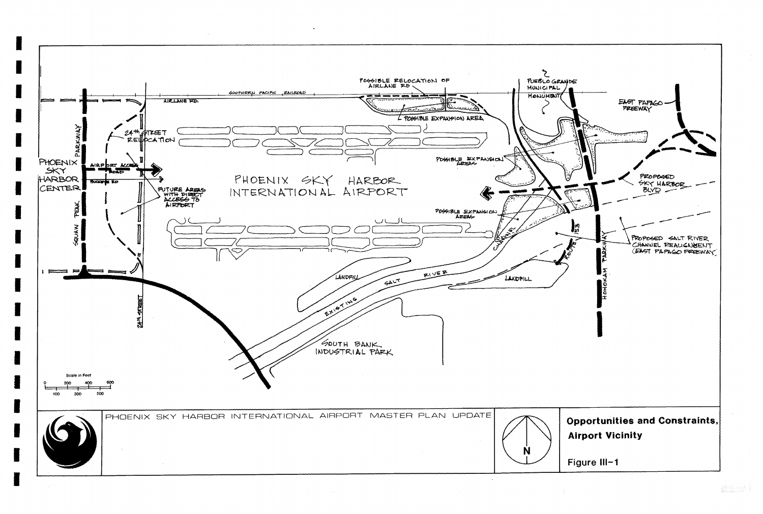

I

I

I

I

I

I

I

I